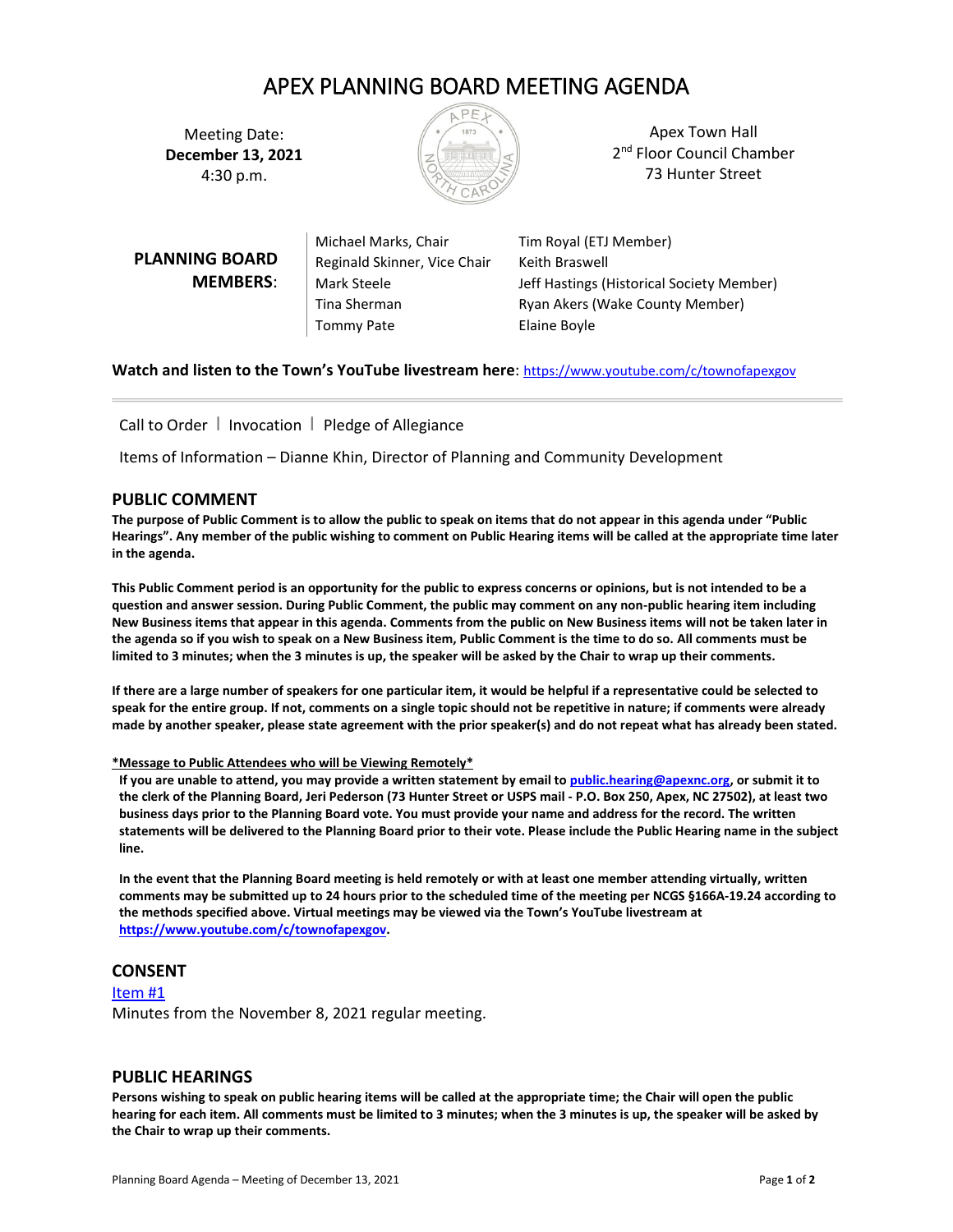# APEX PLANNING BOARD MEETING AGENDA

Meeting Date: **December 13, 2021** 4:30 p.m.



Apex Town Hall 2<sup>nd</sup> Floor Council Chamber 73 Hunter Street

**PLANNING BOARD MEMBERS**:

Michael Marks, Chair Tim Royal (ETJ Member) Reginald Skinner, Vice Chair Keith Braswell Tommy Pate **Elaine Boyle** 

Mark Steele **Mark Steele** Jeff Hastings (Historical Society Member) Tina Sherman **Ryan Akers (Wake County Member)** 

**Watch and listen to the Town's YouTube livestream here**: <https://www.youtube.com/c/townofapexgov>

Call to Order  $\parallel$  Invocation  $\parallel$  Pledge of Allegiance

Items of Information – Dianne Khin, Director of Planning and Community Development

# **PUBLIC COMMENT**

**The purpose of Public Comment is to allow the public to speak on items that do not appear in this agenda under "Public Hearings". Any member of the public wishing to comment on Public Hearing items will be called at the appropriate time later in the agenda.** 

**This Public Comment period is an opportunity for the public to express concerns or opinions, but is not intended to be a question and answer session. During Public Comment, the public may comment on any non-public hearing item including New Business items that appear in this agenda. Comments from the public on New Business items will not be taken later in the agenda so if you wish to speak on a New Business item, Public Comment is the time to do so. All comments must be limited to 3 minutes; when the 3 minutes is up, the speaker will be asked by the Chair to wrap up their comments.** 

**If there are a large number of speakers for one particular item, it would be helpful if a representative could be selected to speak for the entire group. If not, comments on a single topic should not be repetitive in nature; if comments were already made by another speaker, please state agreement with the prior speaker(s) and do not repeat what has already been stated.**

## **\*Message to Public Attendees who will be Viewing Remotely\***

**If you are unable to attend, you may provide a written statement by email t[o public.hearing@apexnc.org,](mailto:public.hearing@apexnc.org) or submit it to the clerk of the Planning Board, Jeri Pederson (73 Hunter Street or USPS mail - P.O. Box 250, Apex, NC 27502), at least two business days prior to the Planning Board vote. You must provide your name and address for the record. The written statements will be delivered to the Planning Board prior to their vote. Please include the Public Hearing name in the subject line.**

**In the event that the Planning Board meeting is held remotely or with at least one member attending virtually, written comments may be submitted up to 24 hours prior to the scheduled time of the meeting per NCGS §166A-19.24 according to the methods specified above. Virtual meetings may be viewed via the Town's YouTube livestream at [https://www.youtube.com/c/townofapexgov.](https://www.youtube.com/c/townofapexgov)**

# **CONSENT**

[Item #1](https://www.apexnc.org/DocumentCenter/View/37775/01-PBMinutes2021118) Minutes from the November 8, 2021 regular meeting.

## **PUBLIC HEARINGS**

**Persons wishing to speak on public hearing items will be called at the appropriate time; the Chair will open the public hearing for each item. All comments must be limited to 3 minutes; when the 3 minutes is up, the speaker will be asked by the Chair to wrap up their comments.**